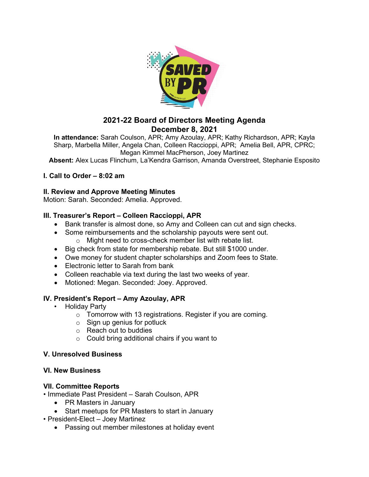

# **2021-22 Board of Directors Meeting Agenda December 8, 2021**

**In attendance:** Sarah Coulson, APR; Amy Azoulay, APR; Kathy Richardson, APR; Kayla Sharp, Marbella Miller, Angela Chan, Colleen Raccioppi, APR; Amelia Bell, APR, CPRC; Megan Kimmel MacPherson, Joey Martinez

**Absent:** Alex Lucas Flinchum, La'Kendra Garrison, Amanda Overstreet, Stephanie Esposito

## **I. Call to Order – 8:02 am**

## **II. Review and Approve Meeting Minutes**

Motion: Sarah. Seconded: Amelia. Approved.

## **III. Treasurer's Report – Colleen Raccioppi, APR**

- Bank transfer is almost done, so Amy and Colleen can cut and sign checks.
- Some reimbursements and the scholarship payouts were sent out.
	- o Might need to cross-check member list with rebate list.
- Big check from state for membership rebate. But still \$1000 under.
- Owe money for student chapter scholarships and Zoom fees to State.
- Electronic letter to Sarah from bank
- Colleen reachable via text during the last two weeks of year.
- Motioned: Megan. Seconded: Joey. Approved.

## **IV. President's Report – Amy Azoulay, APR**

- Holiday Party
	- $\circ$  Tomorrow with 13 registrations. Register if you are coming.
	- $\circ$  Sign up genius for potluck
	- o Reach out to buddies
	- $\circ$  Could bring additional chairs if you want to

## **V. Unresolved Business**

## **VI. New Business**

## **VII. Committee Reports**

- Immediate Past President Sarah Coulson, APR
	- PR Masters in January
	- Start meetups for PR Masters to start in January
- President-Elect Joey Martinez
	- Passing out member milestones at holiday event